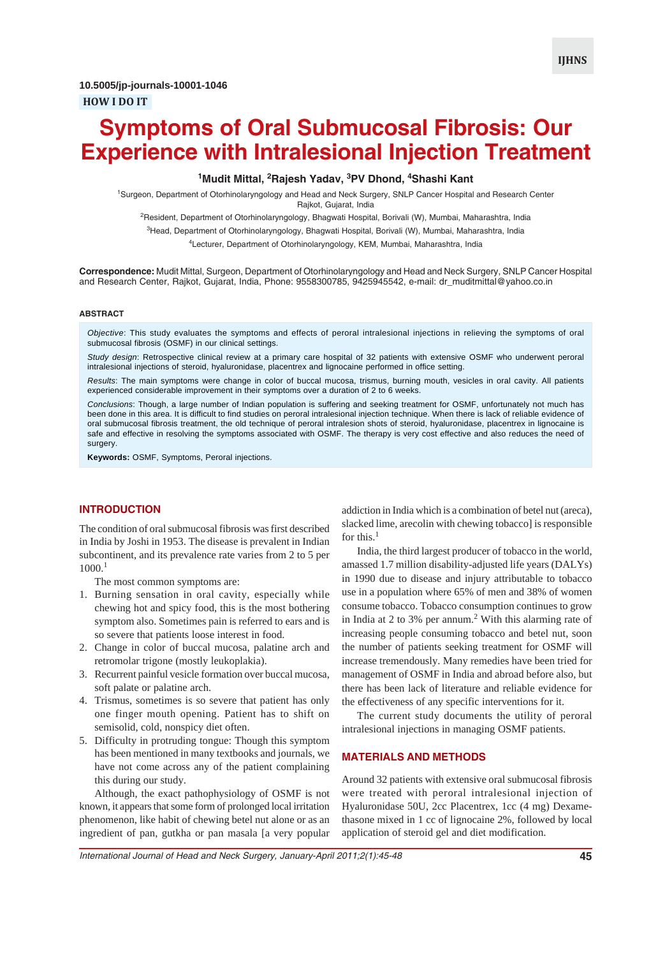## **1 Mudit Mittal, 2 Rajesh Yadav, 3 PV Dhond, 4 Shashi Kant**

<sup>1</sup>Surgeon, Department of Otorhinolaryngology and Head and Neck Surgery, SNLP Cancer Hospital and Research Center Rajkot, Gujarat, India

<sup>2</sup>Resident, Department of Otorhinolaryngology, Bhagwati Hospital, Borivali (W), Mumbai, Maharashtra, India

<sup>3</sup>Head, Department of Otorhinolaryngology, Bhagwati Hospital, Borivali (W), Mumbai, Maharashtra, India

4 Lecturer, Department of Otorhinolaryngology, KEM, Mumbai, Maharashtra, India

**Correspondence:** Mudit Mittal, Surgeon, Department of Otorhinolaryngology and Head and Neck Surgery, SNLP Cancer Hospital and Research Center, Rajkot, Gujarat, India, Phone: 9558300785, 9425945542, e-mail: dr\_muditmittal@yahoo.co.in

#### **ABSTRACT**

*Objective*: This study evaluates the symptoms and effects of peroral intralesional injections in relieving the symptoms of oral submucosal fibrosis (OSMF) in our clinical settings.

*Study design*: Retrospective clinical review at a primary care hospital of 32 patients with extensive OSMF who underwent peroral intralesional injections of steroid, hyaluronidase, placentrex and lignocaine performed in office setting.

*Results*: The main symptoms were change in color of buccal mucosa, trismus, burning mouth, vesicles in oral cavity. All patients experienced considerable improvement in their symptoms over a duration of 2 to 6 weeks.

*Conclusions*: Though, a large number of Indian population is suffering and seeking treatment for OSMF, unfortunately not much has been done in this area. It is difficult to find studies on peroral intralesional injection technique. When there is lack of reliable evidence of oral submucosal fibrosis treatment, the old technique of peroral intralesion shots of steroid, hyaluronidase, placentrex in lignocaine is safe and effective in resolving the symptoms associated with OSMF. The therapy is very cost effective and also reduces the need of surgery.

**Keywords:** OSMF, Symptoms, Peroral injections.

## **INTRODUCTION**

The condition of oral submucosal fibrosis was first described in India by Joshi in 1953. The disease is prevalent in Indian subcontinent, and its prevalence rate varies from 2 to 5 per  $1000<sup>1</sup>$ 

The most common symptoms are:

- 1. Burning sensation in oral cavity, especially while chewing hot and spicy food, this is the most bothering symptom also. Sometimes pain is referred to ears and is so severe that patients loose interest in food.
- 2. Change in color of buccal mucosa, palatine arch and retromolar trigone (mostly leukoplakia).
- 3. Recurrent painful vesicle formation over buccal mucosa, soft palate or palatine arch.
- 4. Trismus, sometimes is so severe that patient has only one finger mouth opening. Patient has to shift on semisolid, cold, nonspicy diet often.
- 5. Difficulty in protruding tongue: Though this symptom has been mentioned in many textbooks and journals, we have not come across any of the patient complaining this during our study.

Although, the exact pathophysiology of OSMF is not known, it appears that some form of prolonged local irritation phenomenon, like habit of chewing betel nut alone or as an ingredient of pan, gutkha or pan masala [a very popular

addiction in India which is a combination of betel nut (areca), slacked lime, arecolin with chewing tobacco] is responsible for this.<sup>1</sup>

India, the third largest producer of tobacco in the world, amassed 1.7 million disability-adjusted life years (DALYs) in 1990 due to disease and injury attributable to tobacco use in a population where 65% of men and 38% of women consume tobacco. Tobacco consumption continues to grow in India at 2 to 3% per annum.<sup>2</sup> With this alarming rate of increasing people consuming tobacco and betel nut, soon the number of patients seeking treatment for OSMF will increase tremendously. Many remedies have been tried for management of OSMF in India and abroad before also, but there has been lack of literature and reliable evidence for the effectiveness of any specific interventions for it.

The current study documents the utility of peroral intralesional injections in managing OSMF patients.

# **MATERIALS AND METHODS**

Around 32 patients with extensive oral submucosal fibrosis were treated with peroral intralesional injection of Hyaluronidase 50U, 2cc Placentrex, 1cc (4 mg) Dexamethasone mixed in 1 cc of lignocaine 2%, followed by local application of steroid gel and diet modification.

*International Journal of Head and Neck Surgery, January-April 2011;2(1):45-48* **45**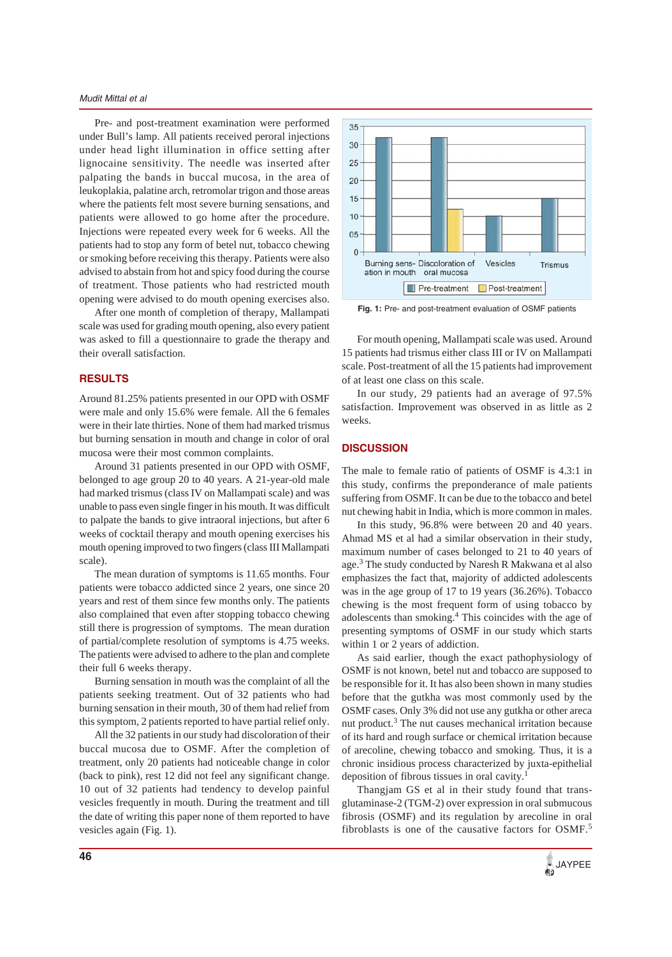#### *Mudit Mittal et al*

Pre- and post-treatment examination were performed under Bull's lamp. All patients received peroral injections under head light illumination in office setting after lignocaine sensitivity. The needle was inserted after palpating the bands in buccal mucosa, in the area of leukoplakia, palatine arch, retromolar trigon and those areas where the patients felt most severe burning sensations, and patients were allowed to go home after the procedure. Injections were repeated every week for 6 weeks. All the patients had to stop any form of betel nut, tobacco chewing or smoking before receiving this therapy. Patients were also advised to abstain from hot and spicy food during the course of treatment. Those patients who had restricted mouth opening were advised to do mouth opening exercises also.

After one month of completion of therapy, Mallampati scale was used for grading mouth opening, also every patient was asked to fill a questionnaire to grade the therapy and their overall satisfaction.

### **RESULTS**

Around 81.25% patients presented in our OPD with OSMF were male and only 15.6% were female. All the 6 females were in their late thirties. None of them had marked trismus but burning sensation in mouth and change in color of oral mucosa were their most common complaints.

Around 31 patients presented in our OPD with OSMF, belonged to age group 20 to 40 years. A 21-year-old male had marked trismus (class IV on Mallampati scale) and was unable to pass even single finger in his mouth. It was difficult to palpate the bands to give intraoral injections, but after 6 weeks of cocktail therapy and mouth opening exercises his mouth opening improved to two fingers (class III Mallampati scale).

The mean duration of symptoms is 11.65 months. Four patients were tobacco addicted since 2 years, one since 20 years and rest of them since few months only. The patients also complained that even after stopping tobacco chewing still there is progression of symptoms. The mean duration of partial/complete resolution of symptoms is 4.75 weeks. The patients were advised to adhere to the plan and complete their full 6 weeks therapy.

Burning sensation in mouth was the complaint of all the patients seeking treatment. Out of 32 patients who had burning sensation in their mouth, 30 of them had relief from this symptom, 2 patients reported to have partial relief only.

All the 32 patients in our study had discoloration of their buccal mucosa due to OSMF. After the completion of treatment, only 20 patients had noticeable change in color (back to pink), rest 12 did not feel any significant change. 10 out of 32 patients had tendency to develop painful vesicles frequently in mouth. During the treatment and till the date of writing this paper none of them reported to have vesicles again (Fig. 1).



**Fig. 1:** Pre- and post-treatment evaluation of OSMF patients

For mouth opening, Mallampati scale was used. Around 15 patients had trismus either class III or IV on Mallampati scale. Post-treatment of all the 15 patients had improvement of at least one class on this scale.

In our study, 29 patients had an average of 97.5% satisfaction. Improvement was observed in as little as 2 weeks.

### **DISCUSSION**

The male to female ratio of patients of OSMF is 4.3:1 in this study, confirms the preponderance of male patients suffering from OSMF. It can be due to the tobacco and betel nut chewing habit in India, which is more common in males.

In this study, 96.8% were between 20 and 40 years. Ahmad MS et al had a similar observation in their study, maximum number of cases belonged to 21 to 40 years of age.<sup>3</sup> The study conducted by Naresh R Makwana et al also emphasizes the fact that, majority of addicted adolescents was in the age group of 17 to 19 years (36.26%). Tobacco chewing is the most frequent form of using tobacco by adolescents than smoking.<sup>4</sup> This coincides with the age of presenting symptoms of OSMF in our study which starts within 1 or 2 years of addiction.

As said earlier, though the exact pathophysiology of OSMF is not known, betel nut and tobacco are supposed to be responsible for it. It has also been shown in many studies before that the gutkha was most commonly used by the OSMF cases. Only 3% did not use any gutkha or other areca nut product.<sup>3</sup> The nut causes mechanical irritation because of its hard and rough surface or chemical irritation because of arecoline, chewing tobacco and smoking. Thus, it is a chronic insidious process characterized by juxta-epithelial deposition of fibrous tissues in oral cavity.1

Thangjam GS et al in their study found that transglutaminase-2 (TGM-2) over expression in oral submucous fibrosis (OSMF) and its regulation by arecoline in oral fibroblasts is one of the causative factors for OSMF.<sup>5</sup>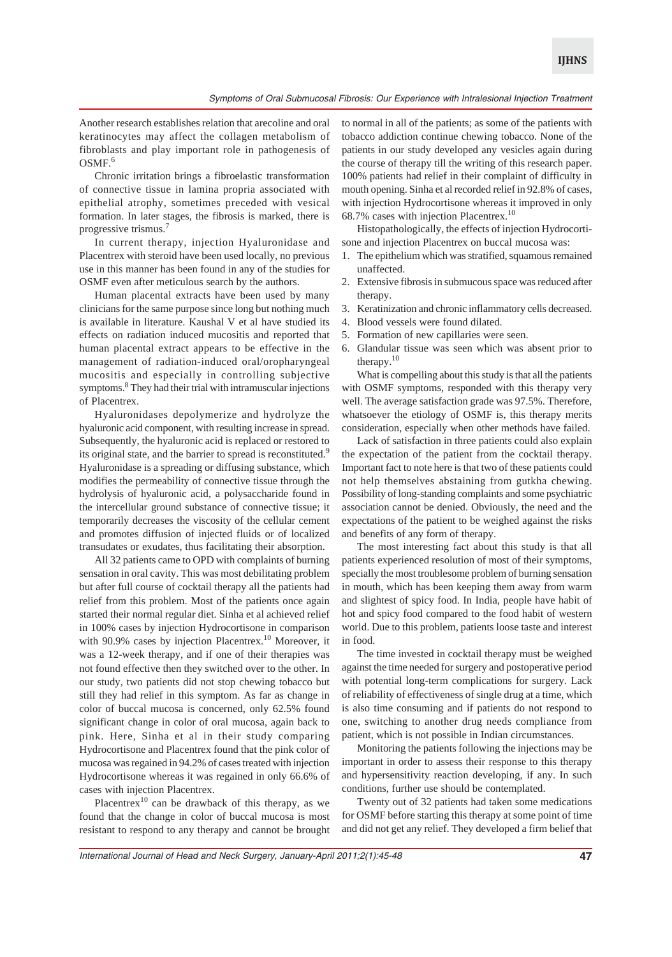Another research establishes relation that arecoline and oral keratinocytes may affect the collagen metabolism of fibroblasts and play important role in pathogenesis of OSMF.<sup>6</sup>

Chronic irritation brings a fibroelastic transformation of connective tissue in lamina propria associated with epithelial atrophy, sometimes preceded with vesical formation. In later stages, the fibrosis is marked, there is progressive trismus.7

In current therapy, injection Hyaluronidase and Placentrex with steroid have been used locally, no previous use in this manner has been found in any of the studies for OSMF even after meticulous search by the authors.

Human placental extracts have been used by many clinicians for the same purpose since long but nothing much is available in literature. Kaushal V et al have studied its effects on radiation induced mucositis and reported that human placental extract appears to be effective in the management of radiation-induced oral/oropharyngeal mucositis and especially in controlling subjective symptoms.<sup>8</sup> They had their trial with intramuscular injections of Placentrex.

Hyaluronidases depolymerize and hydrolyze the hyaluronic acid component, with resulting increase in spread. Subsequently, the hyaluronic acid is replaced or restored to its original state, and the barrier to spread is reconstituted.<sup>9</sup> Hyaluronidase is a spreading or diffusing substance, which modifies the permeability of connective tissue through the hydrolysis of hyaluronic acid, a polysaccharide found in the intercellular ground substance of connective tissue; it temporarily decreases the viscosity of the cellular cement and promotes diffusion of injected fluids or of localized transudates or exudates, thus facilitating their absorption.

All 32 patients came to OPD with complaints of burning sensation in oral cavity. This was most debilitating problem but after full course of cocktail therapy all the patients had relief from this problem. Most of the patients once again started their normal regular diet. Sinha et al achieved relief in 100% cases by injection Hydrocortisone in comparison with 90.9% cases by injection Placentrex.<sup>10</sup> Moreover, it was a 12-week therapy, and if one of their therapies was not found effective then they switched over to the other. In our study, two patients did not stop chewing tobacco but still they had relief in this symptom. As far as change in color of buccal mucosa is concerned, only 62.5% found significant change in color of oral mucosa, again back to pink. Here, Sinha et al in their study comparing Hydrocortisone and Placentrex found that the pink color of mucosa was regained in 94.2% of cases treated with injection Hydrocortisone whereas it was regained in only 66.6% of cases with injection Placentrex.

Placentrex<sup>10</sup> can be drawback of this therapy, as we found that the change in color of buccal mucosa is most resistant to respond to any therapy and cannot be brought

to normal in all of the patients; as some of the patients with tobacco addiction continue chewing tobacco. None of the patients in our study developed any vesicles again during the course of therapy till the writing of this research paper. 100% patients had relief in their complaint of difficulty in mouth opening. Sinha et al recorded relief in 92.8% of cases, with injection Hydrocortisone whereas it improved in only 68.7% cases with injection Placentrex.10

Histopathologically, the effects of injection Hydrocortisone and injection Placentrex on buccal mucosa was:

- 1. The epithelium which was stratified, squamous remained unaffected.
- 2. Extensive fibrosis in submucous space was reduced after therapy.
- 3. Keratinization and chronic inflammatory cells decreased.
- 4. Blood vessels were found dilated.
- 5. Formation of new capillaries were seen.
- 6. Glandular tissue was seen which was absent prior to therapy.<sup>10</sup>

What is compelling about this study is that all the patients with OSMF symptoms, responded with this therapy very well. The average satisfaction grade was 97.5%. Therefore, whatsoever the etiology of OSMF is, this therapy merits consideration, especially when other methods have failed.

Lack of satisfaction in three patients could also explain the expectation of the patient from the cocktail therapy. Important fact to note here is that two of these patients could not help themselves abstaining from gutkha chewing. Possibility of long-standing complaints and some psychiatric association cannot be denied. Obviously, the need and the expectations of the patient to be weighed against the risks and benefits of any form of therapy.

The most interesting fact about this study is that all patients experienced resolution of most of their symptoms, specially the most troublesome problem of burning sensation in mouth, which has been keeping them away from warm and slightest of spicy food. In India, people have habit of hot and spicy food compared to the food habit of western world. Due to this problem, patients loose taste and interest in food.

The time invested in cocktail therapy must be weighed against the time needed for surgery and postoperative period with potential long-term complications for surgery. Lack of reliability of effectiveness of single drug at a time, which is also time consuming and if patients do not respond to one, switching to another drug needs compliance from patient, which is not possible in Indian circumstances.

Monitoring the patients following the injections may be important in order to assess their response to this therapy and hypersensitivity reaction developing, if any. In such conditions, further use should be contemplated.

Twenty out of 32 patients had taken some medications for OSMF before starting this therapy at some point of time and did not get any relief. They developed a firm belief that